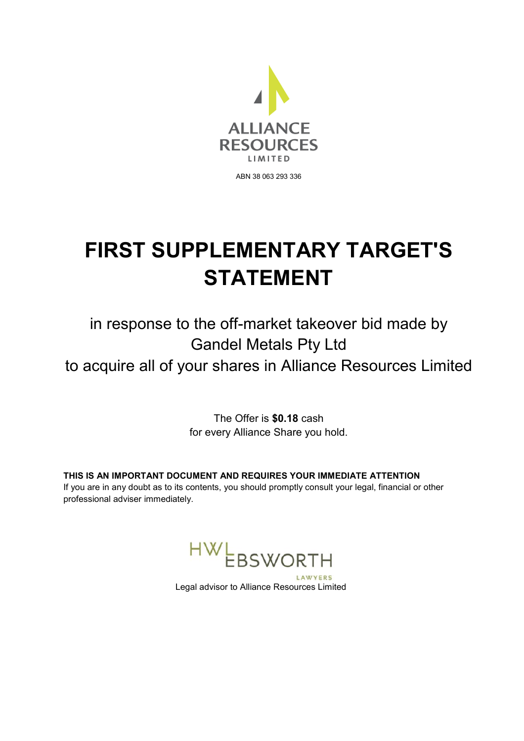

# **FIRST SUPPLEMENTARY TARGET'S STATEMENT**

# in response to the off-market takeover bid made by Gandel Metals Pty Ltd

to acquire all of your shares in Alliance Resources Limited

The Offer is **\$0.18** cash for every Alliance Share you hold.

**THIS IS AN IMPORTANT DOCUMENT AND REQUIRES YOUR IMMEDIATE ATTENTION**  If you are in any doubt as to its contents, you should promptly consult your legal, financial or other professional adviser immediately.



Legal advisor to Alliance Resources Limited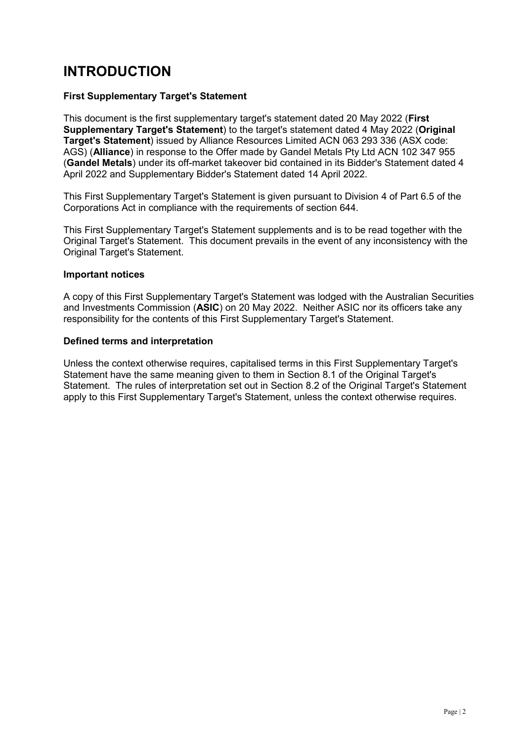## **INTRODUCTION**

#### **First Supplementary Target's Statement**

This document is the first supplementary target's statement dated 20 May 2022 (**First Supplementary Target's Statement**) to the target's statement dated 4 May 2022 (**Original Target's Statement**) issued by Alliance Resources Limited ACN 063 293 336 (ASX code: AGS) (**Alliance**) in response to the Offer made by Gandel Metals Pty Ltd ACN 102 347 955 (**Gandel Metals**) under its off-market takeover bid contained in its Bidder's Statement dated 4 April 2022 and Supplementary Bidder's Statement dated 14 April 2022.

This First Supplementary Target's Statement is given pursuant to Division 4 of Part 6.5 of the Corporations Act in compliance with the requirements of section 644.

This First Supplementary Target's Statement supplements and is to be read together with the Original Target's Statement. This document prevails in the event of any inconsistency with the Original Target's Statement.

#### **Important notices**

A copy of this First Supplementary Target's Statement was lodged with the Australian Securities and Investments Commission (**ASIC**) on 20 May 2022. Neither ASIC nor its officers take any responsibility for the contents of this First Supplementary Target's Statement.

#### **Defined terms and interpretation**

Unless the context otherwise requires, capitalised terms in this First Supplementary Target's Statement have the same meaning given to them in Section 8.1 of the Original Target's Statement. The rules of interpretation set out in Section 8.2 of the Original Target's Statement apply to this First Supplementary Target's Statement, unless the context otherwise requires.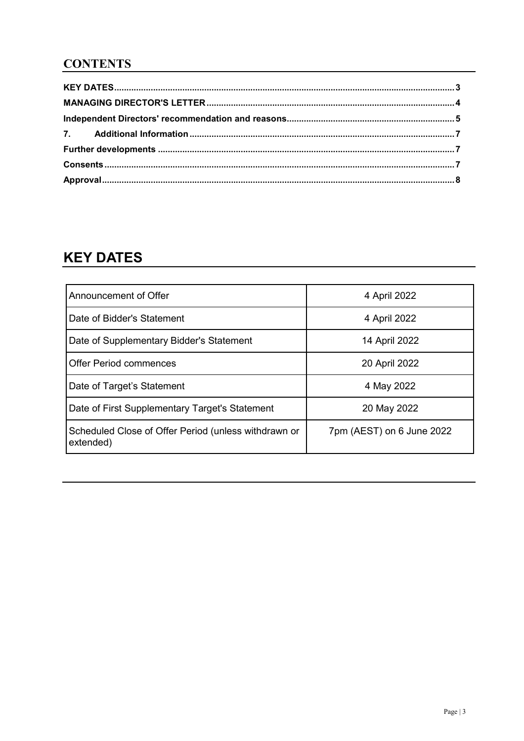### **CONTENTS**

## **KEY DATES**

| Announcement of Offer                                             | 4 April 2022              |
|-------------------------------------------------------------------|---------------------------|
| Date of Bidder's Statement                                        | 4 April 2022              |
| Date of Supplementary Bidder's Statement                          | 14 April 2022             |
| <b>Offer Period commences</b>                                     | 20 April 2022             |
| Date of Target's Statement                                        | 4 May 2022                |
| Date of First Supplementary Target's Statement                    | 20 May 2022               |
| Scheduled Close of Offer Period (unless withdrawn or<br>extended) | 7pm (AEST) on 6 June 2022 |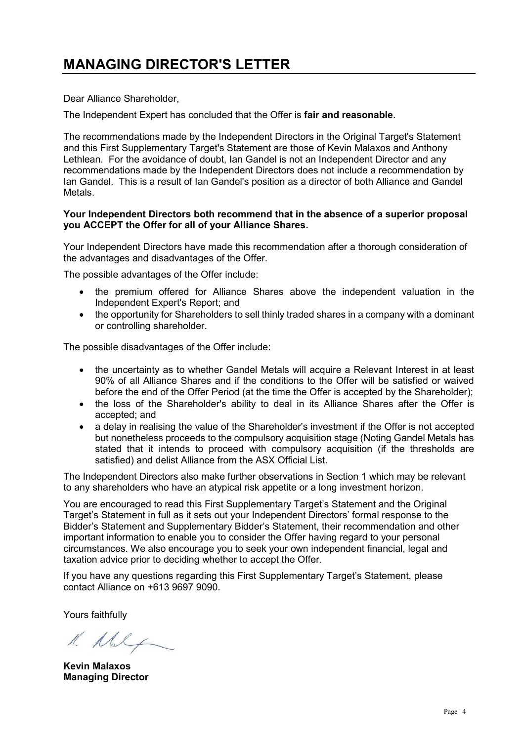Dear Alliance Shareholder,

The Independent Expert has concluded that the Offer is **fair and reasonable**.

The recommendations made by the Independent Directors in the Original Target's Statement and this First Supplementary Target's Statement are those of Kevin Malaxos and Anthony Lethlean. For the avoidance of doubt, Ian Gandel is not an Independent Director and any recommendations made by the Independent Directors does not include a recommendation by Ian Gandel. This is a result of Ian Gandel's position as a director of both Alliance and Gandel Metals.

#### **Your Independent Directors both recommend that in the absence of a superior proposal you ACCEPT the Offer for all of your Alliance Shares.**

Your Independent Directors have made this recommendation after a thorough consideration of the advantages and disadvantages of the Offer.

The possible advantages of the Offer include:

- the premium offered for Alliance Shares above the independent valuation in the Independent Expert's Report; and
- the opportunity for Shareholders to sell thinly traded shares in a company with a dominant or controlling shareholder.

The possible disadvantages of the Offer include:

- the uncertainty as to whether Gandel Metals will acquire a Relevant Interest in at least 90% of all Alliance Shares and if the conditions to the Offer will be satisfied or waived before the end of the Offer Period (at the time the Offer is accepted by the Shareholder);
- the loss of the Shareholder's ability to deal in its Alliance Shares after the Offer is accepted; and
- a delay in realising the value of the Shareholder's investment if the Offer is not accepted but nonetheless proceeds to the compulsory acquisition stage (Noting Gandel Metals has stated that it intends to proceed with compulsory acquisition (if the thresholds are satisfied) and delist Alliance from the ASX Official List.

The Independent Directors also make further observations in Section 1 which may be relevant to any shareholders who have an atypical risk appetite or a long investment horizon.

You are encouraged to read this First Supplementary Target's Statement and the Original Target's Statement in full as it sets out your Independent Directors' formal response to the Bidder's Statement and Supplementary Bidder's Statement, their recommendation and other important information to enable you to consider the Offer having regard to your personal circumstances. We also encourage you to seek your own independent financial, legal and taxation advice prior to deciding whether to accept the Offer.

If you have any questions regarding this First Supplementary Target's Statement, please contact Alliance on +613 9697 9090.

Yours faithfully

1. Maly

**Kevin Malaxos Managing Director**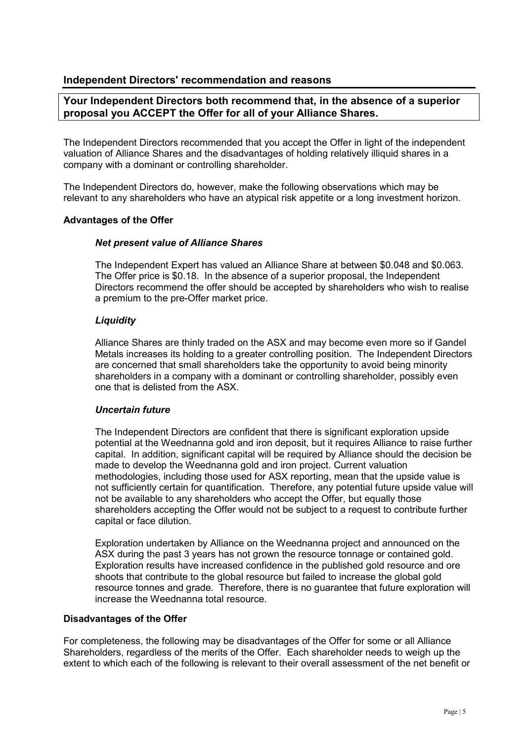#### **Independent Directors' recommendation and reasons**

#### **Your Independent Directors both recommend that, in the absence of a superior proposal you ACCEPT the Offer for all of your Alliance Shares.**

The Independent Directors recommended that you accept the Offer in light of the independent valuation of Alliance Shares and the disadvantages of holding relatively illiquid shares in a company with a dominant or controlling shareholder.

The Independent Directors do, however, make the following observations which may be relevant to any shareholders who have an atypical risk appetite or a long investment horizon.

#### **Advantages of the Offer**

#### *Net present value of Alliance Shares*

The Independent Expert has valued an Alliance Share at between \$0.048 and \$0.063. The Offer price is \$0.18. In the absence of a superior proposal, the Independent Directors recommend the offer should be accepted by shareholders who wish to realise a premium to the pre-Offer market price.

#### *Liquidity*

Alliance Shares are thinly traded on the ASX and may become even more so if Gandel Metals increases its holding to a greater controlling position. The Independent Directors are concerned that small shareholders take the opportunity to avoid being minority shareholders in a company with a dominant or controlling shareholder, possibly even one that is delisted from the ASX.

#### *Uncertain future*

The Independent Directors are confident that there is significant exploration upside potential at the Weednanna gold and iron deposit, but it requires Alliance to raise further capital. In addition, significant capital will be required by Alliance should the decision be made to develop the Weednanna gold and iron project. Current valuation methodologies, including those used for ASX reporting, mean that the upside value is not sufficiently certain for quantification. Therefore, any potential future upside value will not be available to any shareholders who accept the Offer, but equally those shareholders accepting the Offer would not be subject to a request to contribute further capital or face dilution.

Exploration undertaken by Alliance on the Weednanna project and announced on the ASX during the past 3 years has not grown the resource tonnage or contained gold. Exploration results have increased confidence in the published gold resource and ore shoots that contribute to the global resource but failed to increase the global gold resource tonnes and grade. Therefore, there is no guarantee that future exploration will increase the Weednanna total resource.

#### **Disadvantages of the Offer**

For completeness, the following may be disadvantages of the Offer for some or all Alliance Shareholders, regardless of the merits of the Offer. Each shareholder needs to weigh up the extent to which each of the following is relevant to their overall assessment of the net benefit or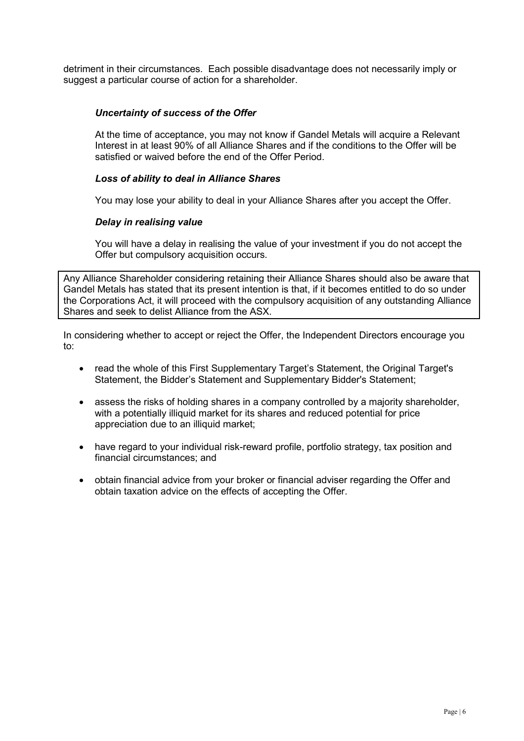detriment in their circumstances. Each possible disadvantage does not necessarily imply or suggest a particular course of action for a shareholder.

#### *Uncertainty of success of the Offer*

At the time of acceptance, you may not know if Gandel Metals will acquire a Relevant Interest in at least 90% of all Alliance Shares and if the conditions to the Offer will be satisfied or waived before the end of the Offer Period.

#### *Loss of ability to deal in Alliance Shares*

You may lose your ability to deal in your Alliance Shares after you accept the Offer.

#### *Delay in realising value*

You will have a delay in realising the value of your investment if you do not accept the Offer but compulsory acquisition occurs.

Any Alliance Shareholder considering retaining their Alliance Shares should also be aware that Gandel Metals has stated that its present intention is that, if it becomes entitled to do so under the Corporations Act, it will proceed with the compulsory acquisition of any outstanding Alliance Shares and seek to delist Alliance from the ASX.

In considering whether to accept or reject the Offer, the Independent Directors encourage you to:

- read the whole of this First Supplementary Target's Statement, the Original Target's Statement, the Bidder's Statement and Supplementary Bidder's Statement;
- assess the risks of holding shares in a company controlled by a majority shareholder. with a potentially illiquid market for its shares and reduced potential for price appreciation due to an illiquid market;
- have regard to your individual risk-reward profile, portfolio strategy, tax position and financial circumstances; and
- obtain financial advice from your broker or financial adviser regarding the Offer and obtain taxation advice on the effects of accepting the Offer.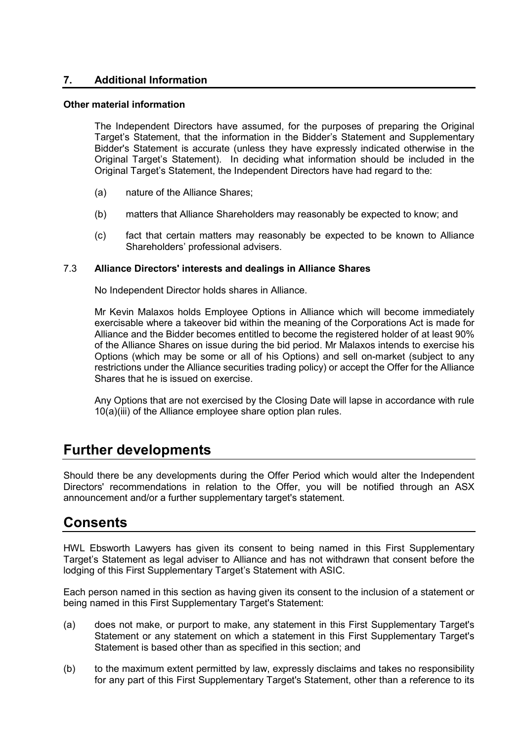#### **7. Additional Information**

#### **Other material information**

The Independent Directors have assumed, for the purposes of preparing the Original Target's Statement, that the information in the Bidder's Statement and Supplementary Bidder's Statement is accurate (unless they have expressly indicated otherwise in the Original Target's Statement). In deciding what information should be included in the Original Target's Statement, the Independent Directors have had regard to the:

- (a) nature of the Alliance Shares;
- (b) matters that Alliance Shareholders may reasonably be expected to know; and
- (c) fact that certain matters may reasonably be expected to be known to Alliance Shareholders' professional advisers.

#### 7.3 **Alliance Directors' interests and dealings in Alliance Shares**

No Independent Director holds shares in Alliance.

Mr Kevin Malaxos holds Employee Options in Alliance which will become immediately exercisable where a takeover bid within the meaning of the Corporations Act is made for Alliance and the Bidder becomes entitled to become the registered holder of at least 90% of the Alliance Shares on issue during the bid period. Mr Malaxos intends to exercise his Options (which may be some or all of his Options) and sell on-market (subject to any restrictions under the Alliance securities trading policy) or accept the Offer for the Alliance Shares that he is issued on exercise.

Any Options that are not exercised by the Closing Date will lapse in accordance with rule 10(a)(iii) of the Alliance employee share option plan rules.

### **Further developments**

Should there be any developments during the Offer Period which would alter the Independent Directors' recommendations in relation to the Offer, you will be notified through an ASX announcement and/or a further supplementary target's statement.

## **Consents**

HWL Ebsworth Lawyers has given its consent to being named in this First Supplementary Target's Statement as legal adviser to Alliance and has not withdrawn that consent before the lodging of this First Supplementary Target's Statement with ASIC.

Each person named in this section as having given its consent to the inclusion of a statement or being named in this First Supplementary Target's Statement:

- (a) does not make, or purport to make, any statement in this First Supplementary Target's Statement or any statement on which a statement in this First Supplementary Target's Statement is based other than as specified in this section; and
- (b) to the maximum extent permitted by law, expressly disclaims and takes no responsibility for any part of this First Supplementary Target's Statement, other than a reference to its